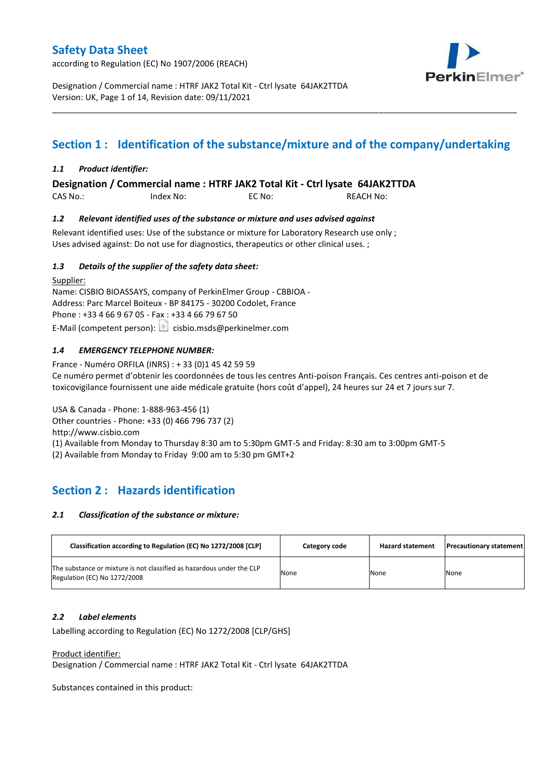according to Regulation (EC) No 1907/2006 (REACH)



Designation / Commercial name : HTRF JAK2 Total Kit - Ctrl lysate 64JAK2TTDA Version: UK, Page 1 of 14, Revision date: 09/11/2021

# **Section 1 : Identification of the substance/mixture and of the company/undertaking**

\_\_\_\_\_\_\_\_\_\_\_\_\_\_\_\_\_\_\_\_\_\_\_\_\_\_\_\_\_\_\_\_\_\_\_\_\_\_\_\_\_\_\_\_\_\_\_\_\_\_\_\_\_\_\_\_\_\_\_\_\_\_\_\_\_\_\_\_\_\_\_\_\_\_\_\_\_\_\_\_\_\_\_\_\_\_\_\_\_\_\_\_\_\_\_\_\_\_\_\_\_

### *1.1 Product identifier:*

**Designation / Commercial name : HTRF JAK2 Total Kit - Ctrl lysate 64JAK2TTDA** 

CAS No.: Index No: EC No: REACH No:

### *1.2 Relevant identified uses of the substance or mixture and uses advised against*

Relevant identified uses: Use of the substance or mixture for Laboratory Research use only ; Uses advised against: Do not use for diagnostics, therapeutics or other clinical uses. ;

### *1.3 Details of the supplier of the safety data sheet:*

Supplier: Name: CISBIO BIOASSAYS, company of PerkinElmer Group - CBBIOA - Address: Parc Marcel Boiteux - BP 84175 - 30200 Codolet, France Phone : +33 4 66 9 67 05 - Fax : +33 4 66 79 67 50 E-Mail (competent person):  $\boxed{\equiv}$  cisbio.msds@perkinelmer.com

### *1.4 EMERGENCY TELEPHONE NUMBER:*

France - Numéro ORFILA (INRS) : + 33 (0)1 45 42 59 59 Ce numéro permet d'obtenir les coordonnées de tous les centres Anti-poison Français. Ces centres anti-poison et de toxicovigilance fournissent une aide médicale gratuite (hors coût d'appel), 24 heures sur 24 et 7 jours sur 7.

USA & Canada - Phone: 1-888-963-456 (1) Other countries - Phone: +33 (0) 466 796 737 (2)

http://www.cisbio.com

(1) Available from Monday to Thursday 8:30 am to 5:30pm GMT-5 and Friday: 8:30 am to 3:00pm GMT-5

(2) Available from Monday to Friday 9:00 am to 5:30 pm GMT+2

## **Section 2 : Hazards identification**

#### *2.1 Classification of the substance or mixture:*

| Classification according to Regulation (EC) No 1272/2008 [CLP]                                        | Category code | <b>Hazard statement</b> | <b>Precautionary statement</b> |
|-------------------------------------------------------------------------------------------------------|---------------|-------------------------|--------------------------------|
| The substance or mixture is not classified as hazardous under the CLP<br>Regulation (EC) No 1272/2008 | None          | None                    | None                           |

#### *2.2 Label elements*

Labelling according to Regulation (EC) No 1272/2008 [CLP/GHS]

Product identifier:

Designation / Commercial name : HTRF JAK2 Total Kit - Ctrl lysate 64JAK2TTDA

Substances contained in this product: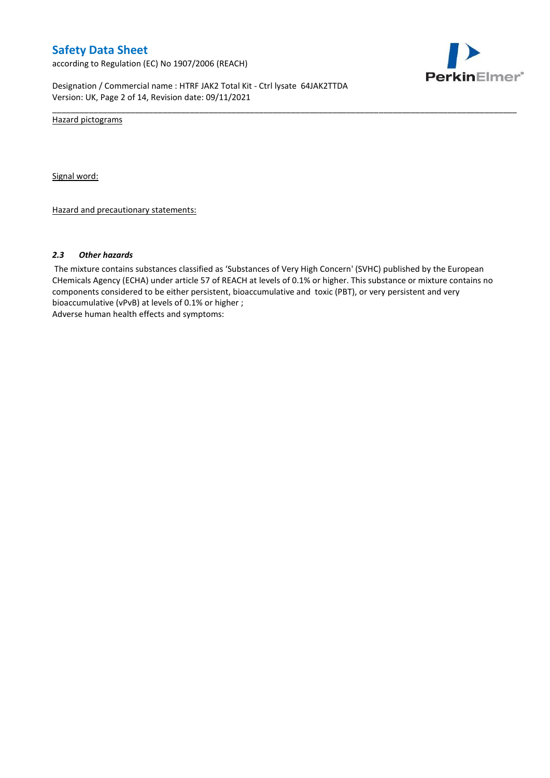according to Regulation (EC) No 1907/2006 (REACH)



Designation / Commercial name : HTRF JAK2 Total Kit - Ctrl lysate 64JAK2TTDA Version: UK, Page 2 of 14, Revision date: 09/11/2021

Hazard pictograms

Signal word:

Hazard and precautionary statements:

#### *2.3 Other hazards*

The mixture contains substances classified as 'Substances of Very High Concern' (SVHC) published by the European CHemicals Agency (ECHA) under article 57 of REACH at levels of 0.1% or higher. This substance or mixture contains no components considered to be either persistent, bioaccumulative and toxic (PBT), or very persistent and very bioaccumulative (vPvB) at levels of 0.1% or higher ; Adverse human health effects and symptoms:

\_\_\_\_\_\_\_\_\_\_\_\_\_\_\_\_\_\_\_\_\_\_\_\_\_\_\_\_\_\_\_\_\_\_\_\_\_\_\_\_\_\_\_\_\_\_\_\_\_\_\_\_\_\_\_\_\_\_\_\_\_\_\_\_\_\_\_\_\_\_\_\_\_\_\_\_\_\_\_\_\_\_\_\_\_\_\_\_\_\_\_\_\_\_\_\_\_\_\_\_\_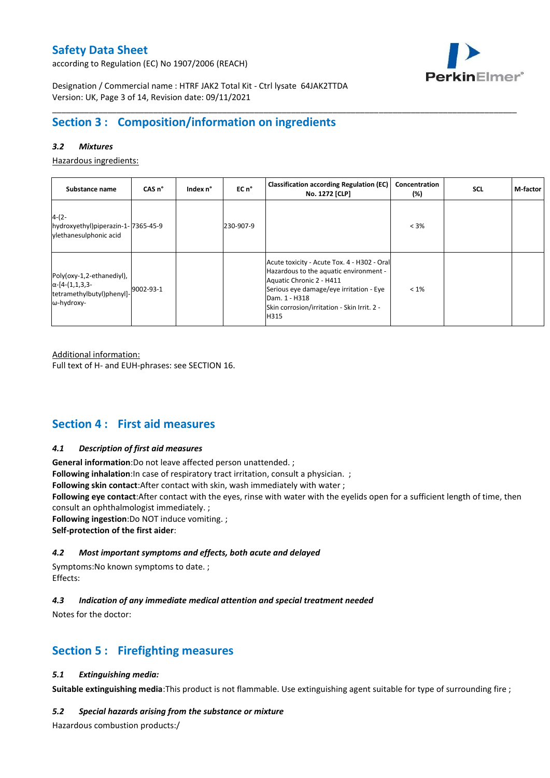according to Regulation (EC) No 1907/2006 (REACH)



Designation / Commercial name : HTRF JAK2 Total Kit - Ctrl lysate 64JAK2TTDA Version: UK, Page 3 of 14, Revision date: 09/11/2021

# **Section 3 : Composition/information on ingredients**

### *3.2 Mixtures*

Hazardous ingredients:

| Substance name                                                                                 | CAS <sub>n</sub> ° | Index n° | EC n°     | <b>Classification according Regulation (EC)</b><br>No. 1272 [CLP]                                                                                                                                                                    | Concentration<br>(%) | <b>SCL</b> | M-factor |
|------------------------------------------------------------------------------------------------|--------------------|----------|-----------|--------------------------------------------------------------------------------------------------------------------------------------------------------------------------------------------------------------------------------------|----------------------|------------|----------|
| $4-(2-$<br>hydroxyethyl)piperazin-1-7365-45-9<br>vlethanesulphonic acid                        |                    |          | 230-907-9 |                                                                                                                                                                                                                                      | $< 3\%$              |            |          |
| Poly(oxy-1,2-ethanediyl),<br>$\alpha$ -[4-(1,1,3,3-<br>tetramethylbutyl)phenyl]-<br>ω-hydroxy- | 9002-93-1          |          |           | Acute toxicity - Acute Tox. 4 - H302 - Oral<br>Hazardous to the aquatic environment -<br>Aquatic Chronic 2 - H411<br>Serious eye damage/eye irritation - Eye<br>Dam. 1 - H318<br>Skin corrosion/irritation - Skin Irrit. 2 -<br>H315 | $< 1\%$              |            |          |

\_\_\_\_\_\_\_\_\_\_\_\_\_\_\_\_\_\_\_\_\_\_\_\_\_\_\_\_\_\_\_\_\_\_\_\_\_\_\_\_\_\_\_\_\_\_\_\_\_\_\_\_\_\_\_\_\_\_\_\_\_\_\_\_\_\_\_\_\_\_\_\_\_\_\_\_\_\_\_\_\_\_\_\_\_\_\_\_\_\_\_\_\_\_\_\_\_\_\_\_\_

Additional information:

Full text of H- and EUH-phrases: see SECTION 16.

## **Section 4 : First aid measures**

#### *4.1 Description of first aid measures*

**General information**:Do not leave affected person unattended. ;

**Following inhalation**: In case of respiratory tract irritation, consult a physician. ;

**Following skin contact**:After contact with skin, wash immediately with water ;

**Following eye contact**:After contact with the eyes, rinse with water with the eyelids open for a sufficient length of time, then consult an ophthalmologist immediately. ;

**Following ingestion**:Do NOT induce vomiting. ;

**Self-protection of the first aider**:

### *4.2 Most important symptoms and effects, both acute and delayed*

Symptoms:No known symptoms to date. ; Effects:

### *4.3 Indication of any immediate medical attention and special treatment needed*

Notes for the doctor:

## **Section 5 : Firefighting measures**

### *5.1 Extinguishing media:*

**Suitable extinguishing media**:This product is not flammable. Use extinguishing agent suitable for type of surrounding fire ;

#### *5.2 Special hazards arising from the substance or mixture*

Hazardous combustion products:/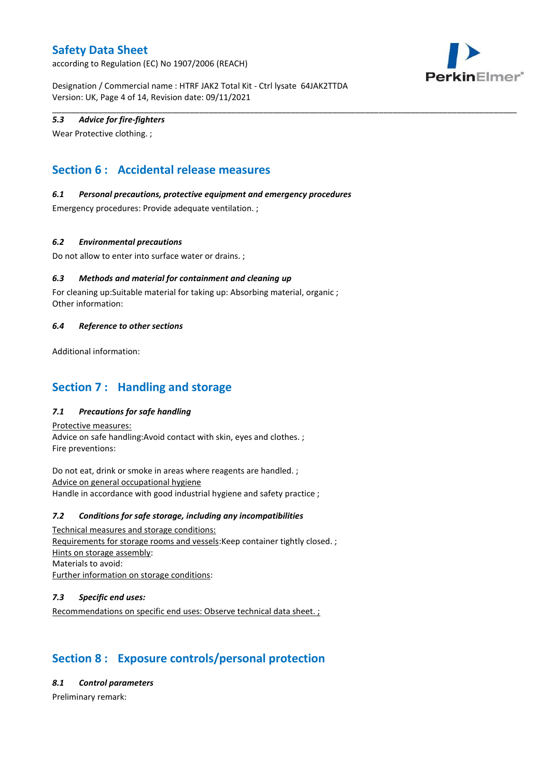according to Regulation (EC) No 1907/2006 (REACH)



Designation / Commercial name : HTRF JAK2 Total Kit - Ctrl lysate 64JAK2TTDA Version: UK, Page 4 of 14, Revision date: 09/11/2021

\_\_\_\_\_\_\_\_\_\_\_\_\_\_\_\_\_\_\_\_\_\_\_\_\_\_\_\_\_\_\_\_\_\_\_\_\_\_\_\_\_\_\_\_\_\_\_\_\_\_\_\_\_\_\_\_\_\_\_\_\_\_\_\_\_\_\_\_\_\_\_\_\_\_\_\_\_\_\_\_\_\_\_\_\_\_\_\_\_\_\_\_\_\_\_\_\_\_\_\_\_

### *5.3 Advice for fire-fighters*

Wear Protective clothing. ;

# **Section 6 : Accidental release measures**

### *6.1 Personal precautions, protective equipment and emergency procedures*

Emergency procedures: Provide adequate ventilation. ;

### *6.2 Environmental precautions*

Do not allow to enter into surface water or drains. ;

### *6.3 Methods and material for containment and cleaning up*

For cleaning up:Suitable material for taking up: Absorbing material, organic ; Other information:

#### *6.4 Reference to other sections*

Additional information:

## **Section 7 : Handling and storage**

### *7.1 Precautions for safe handling*

Protective measures: Advice on safe handling:Avoid contact with skin, eyes and clothes. ; Fire preventions:

Do not eat, drink or smoke in areas where reagents are handled. ; Advice on general occupational hygiene Handle in accordance with good industrial hygiene and safety practice ;

#### *7.2 Conditions for safe storage, including any incompatibilities*

Technical measures and storage conditions: Requirements for storage rooms and vessels:Keep container tightly closed. ; Hints on storage assembly: Materials to avoid: Further information on storage conditions:

#### *7.3 Specific end uses:*

Recommendations on specific end uses: Observe technical data sheet. ;

# **Section 8 : Exposure controls/personal protection**

*8.1 Control parameters*

Preliminary remark: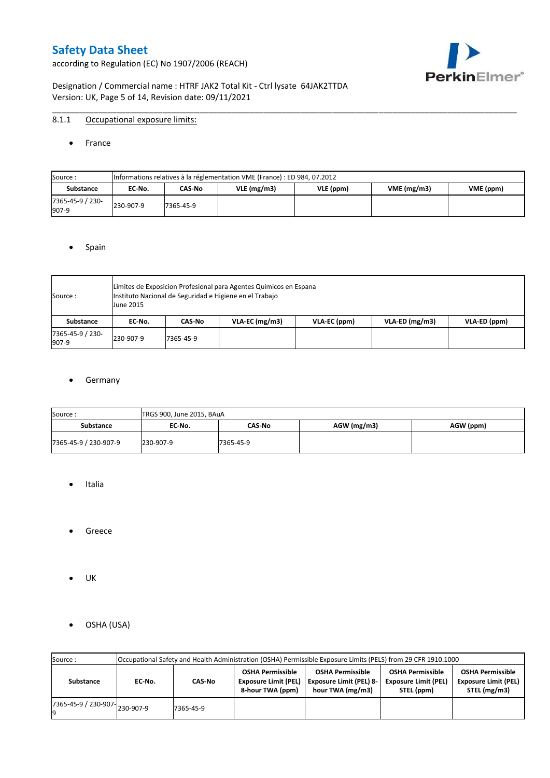according to Regulation (EC) No 1907/2006 (REACH)



Designation / Commercial name : HTRF JAK2 Total Kit - Ctrl lysate 64JAK2TTDA Version: UK, Page 5 of 14, Revision date: 09/11/2021

### 8.1.1 Occupational exposure limits:

#### • France

| Source:                   |           | Informations relatives à la réglementation VME (France) : ED 984, 07.2012 |               |           |            |           |  |  |  |  |  |  |  |
|---------------------------|-----------|---------------------------------------------------------------------------|---------------|-----------|------------|-----------|--|--|--|--|--|--|--|
| <b>Substance</b>          | EC No.    | CAS-No                                                                    | $VLE$ (mg/m3) | VLE (ppm) | VME(mg/m3) | VME (ppm) |  |  |  |  |  |  |  |
| 7365-45-9 / 230-<br>907-9 | 230-907-9 | 7365-45-9                                                                 |               |           |            |           |  |  |  |  |  |  |  |

\_\_\_\_\_\_\_\_\_\_\_\_\_\_\_\_\_\_\_\_\_\_\_\_\_\_\_\_\_\_\_\_\_\_\_\_\_\_\_\_\_\_\_\_\_\_\_\_\_\_\_\_\_\_\_\_\_\_\_\_\_\_\_\_\_\_\_\_\_\_\_\_\_\_\_\_\_\_\_\_\_\_\_\_\_\_\_\_\_\_\_\_\_\_\_\_\_\_\_\_\_

#### • Spain

| Source:                   | <b>June 2015</b> | Limites de Exposicion Profesional para Agentes Quimicos en Espana<br>Instituto Nacional de Seguridad e Higiene en el Trabajo |                  |              |                  |              |  |  |  |  |  |  |
|---------------------------|------------------|------------------------------------------------------------------------------------------------------------------------------|------------------|--------------|------------------|--------------|--|--|--|--|--|--|
| Substance                 | EC No.           | CAS-No                                                                                                                       | $VLA-EC$ (mg/m3) | VLA-EC (ppm) | $VLA-ED$ (mg/m3) | VLA-ED (ppm) |  |  |  |  |  |  |
| 7365-45-9 / 230-<br>907-9 | 230-907-9        | 7365-45-9                                                                                                                    |                  |              |                  |              |  |  |  |  |  |  |

### **•** Germany

| Source:               | TRGS 900, June 2015, BAuA |               |               |           |
|-----------------------|---------------------------|---------------|---------------|-----------|
| <b>Substance</b>      | EC No.                    | <b>CAS No</b> | $AGW$ (mg/m3) | AGW (ppm) |
| 7365-45-9 / 230-907-9 | 230-907-9                 | 7365-45-9     |               |           |

- Italia
- Greece
- UK
- OSHA (USA)

| Source:              |           | Occupational Safety and Health Administration (OSHA) Permissible Exposure Limits (PELS) from 29 CFR 1910.1000<br><b>OSHA Permissible</b><br><b>OSHA Permissible</b><br><b>OSHA Permissible</b><br><b>OSHA Permissible</b> |                                                 |                                                    |                                                                                          |  |  |  |  |  |  |  |  |  |
|----------------------|-----------|---------------------------------------------------------------------------------------------------------------------------------------------------------------------------------------------------------------------------|-------------------------------------------------|----------------------------------------------------|------------------------------------------------------------------------------------------|--|--|--|--|--|--|--|--|--|
| Substance            | EC-No.    | CAS-No                                                                                                                                                                                                                    | <b>Exposure Limit (PEL)</b><br>8-hour TWA (ppm) | <b>Exposure Limit (PEL) 8-</b><br>hour TWA (mg/m3) | <b>Exposure Limit (PEL)</b><br><b>Exposure Limit (PEL)</b><br>STEL (mg/m3)<br>STEL (ppm) |  |  |  |  |  |  |  |  |  |
| 7365-45-9 / 230-907- | 230-907-9 | 7365-45-9                                                                                                                                                                                                                 |                                                 |                                                    |                                                                                          |  |  |  |  |  |  |  |  |  |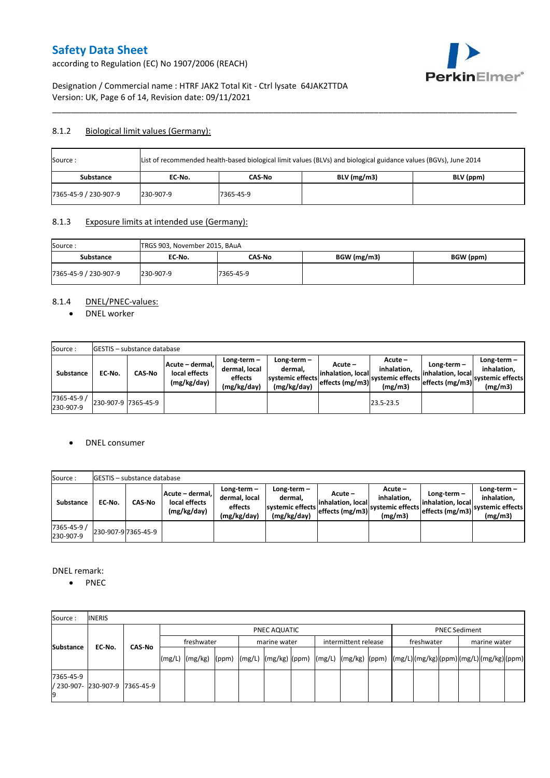according to Regulation (EC) No 1907/2006 (REACH)



## Designation / Commercial name : HTRF JAK2 Total Kit - Ctrl lysate 64JAK2TTDA Version: UK, Page 6 of 14, Revision date: 09/11/2021

### 8.1.2 Biological limit values (Germany):

| Source:               | List of recommended health-based biological limit values (BLVs) and biological guidance values (BGVs), June 2014 |           |               |           |  |  |  |  |  |  |
|-----------------------|------------------------------------------------------------------------------------------------------------------|-----------|---------------|-----------|--|--|--|--|--|--|
| Substance             | EC No.                                                                                                           | CAS-No    | $BLV$ (mg/m3) | BLV (ppm) |  |  |  |  |  |  |
| 7365-45-9 / 230-907-9 | 230-907-9                                                                                                        | 7365-45-9 |               |           |  |  |  |  |  |  |

\_\_\_\_\_\_\_\_\_\_\_\_\_\_\_\_\_\_\_\_\_\_\_\_\_\_\_\_\_\_\_\_\_\_\_\_\_\_\_\_\_\_\_\_\_\_\_\_\_\_\_\_\_\_\_\_\_\_\_\_\_\_\_\_\_\_\_\_\_\_\_\_\_\_\_\_\_\_\_\_\_\_\_\_\_\_\_\_\_\_\_\_\_\_\_\_\_\_\_\_\_

### 8.1.3 Exposure limits at intended use (Germany):

| Source:<br>TRGS 903, November 2015, BAuA |           |           |             |           |
|------------------------------------------|-----------|-----------|-------------|-----------|
| Substance                                | EC No.    | CAS-No    | BGW (mg/m3) | BGW (ppm) |
| 7365-45-9 / 230-907-9                    | 230-907-9 | 7365-45-9 |             |           |

## 8.1.4 DNEL/PNEC-values:

• DNEL worker

| Source:                  |                     | <b>GESTIS</b> – substance database |                                                 |                                                       |                                                             |                                                  |                                                       |                                                         |                                                             |
|--------------------------|---------------------|------------------------------------|-------------------------------------------------|-------------------------------------------------------|-------------------------------------------------------------|--------------------------------------------------|-------------------------------------------------------|---------------------------------------------------------|-------------------------------------------------------------|
| Substance                | EC No.              | <b>CAS-No</b>                      | Acute - dermal.<br>local effects<br>(mg/kg/day) | Long-term-<br>dermal, local<br>effects<br>(mg/kg/day) | $Long-term -$<br>dermal.<br>systemic effects<br>(mg/kg/day) | Acute –<br>linhalation. local<br>effects (mg/m3) | Acute -<br>inhalation.<br>systemic effects<br>(mg/m3) | Long-term –<br>linhalation. locall<br>effects $(mg/m3)$ | $Long-term -$<br>inhalation.<br>systemic effects<br>(mg/m3) |
| 7365-45-9 /<br>230-907-9 | 230-907-9 7365-45-9 |                                    |                                                 |                                                       |                                                             |                                                  | 23.5-23.5                                             |                                                         |                                                             |

### DNEL consumer

| Source:                  |        | <b>IGESTIS</b> – substance database |                                                 |                                                          |                                                          |                                                  |                                                       |                                                         |                                                             |
|--------------------------|--------|-------------------------------------|-------------------------------------------------|----------------------------------------------------------|----------------------------------------------------------|--------------------------------------------------|-------------------------------------------------------|---------------------------------------------------------|-------------------------------------------------------------|
| Substance                | EC No. | CAS-No                              | Acute - dermal.<br>local effects<br>(mg/kg/day) | Long-term $-$<br>dermal, local<br>effects<br>(mg/kg/day) | Long-term-<br>dermal.<br>systemic effects<br>(mg/kg/day) | Acute –<br>linhalation. local<br>effects (mg/m3) | Acute -<br>inhalation.<br>systemic effects<br>(mg/m3) | $Long-term -$<br>linhalation. local<br>leffects (mg/m3) | Long-term $-$<br>inhalation.<br>systemic effects<br>(mg/m3) |
| 7365-45-9 /<br>230-907-9 |        | 230-907-9 7365-45-9                 |                                                 |                                                          |                                                          |                                                  |                                                       |                                                         |                                                             |

DNEL remark:

• PNEC

| Source:          | <b>INERIS</b>                  |               |            |                                                                                                                    |  |              |                      |  |  |                            |  |  |                      |  |  |
|------------------|--------------------------------|---------------|------------|--------------------------------------------------------------------------------------------------------------------|--|--------------|----------------------|--|--|----------------------------|--|--|----------------------|--|--|
|                  |                                |               |            |                                                                                                                    |  | PNEC AQUATIC |                      |  |  |                            |  |  | <b>PNEC Sediment</b> |  |  |
| <b>Substance</b> | EC-No.                         | <b>CAS-No</b> | freshwater |                                                                                                                    |  | marine water | intermittent release |  |  | freshwater<br>marine water |  |  |                      |  |  |
|                  |                                |               |            | [(mg/L)  (mg/kg)  (ppm)  (mg/L)  (mg/kg)  (ppm)  (mg/L)  (mg/kg)  (ppm)  (mg/L) (mg/kg) (ppm) (mg/L) (mg/kg) (ppm) |  |              |                      |  |  |                            |  |  |                      |  |  |
| 7365-45-9        | / 230-907- 230-907-9 7365-45-9 |               |            |                                                                                                                    |  |              |                      |  |  |                            |  |  |                      |  |  |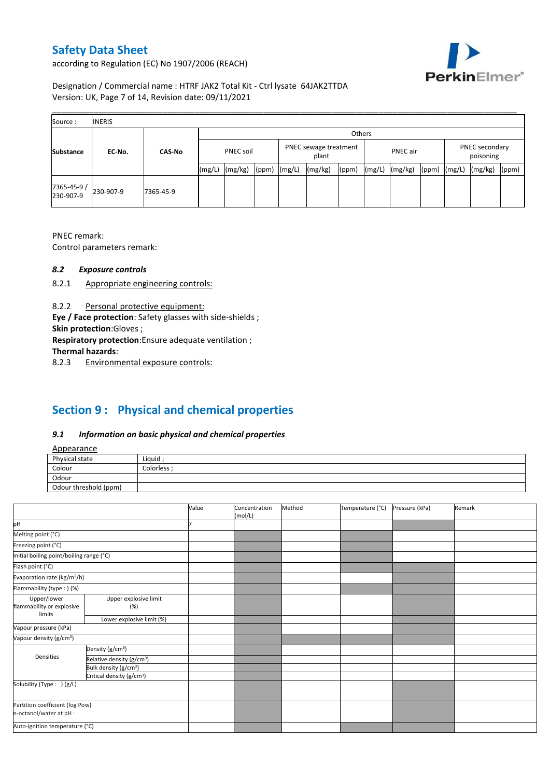according to Regulation (EC) No 1907/2006 (REACH)



## Designation / Commercial name : HTRF JAK2 Total Kit - Ctrl lysate 64JAK2TTDA Version: UK, Page 7 of 14, Revision date: 09/11/2021

| Source:                  | <b>INERIS</b> |               |                                                    |         |       |        |                                         |       |        |         |       |        |         |       |
|--------------------------|---------------|---------------|----------------------------------------------------|---------|-------|--------|-----------------------------------------|-------|--------|---------|-------|--------|---------|-------|
|                          |               |               | Others                                             |         |       |        |                                         |       |        |         |       |        |         |       |
| <b>Substance</b>         | EC-No.        | <b>CAS-No</b> | PNEC sewage treatment<br><b>PNEC soil</b><br>plant |         |       |        | PNEC secondary<br>PNEC air<br>poisoning |       |        |         |       |        |         |       |
|                          |               |               | (mg/L)                                             | (mg/kg) | (ppm) | (mg/L) | (mg/kg)                                 | (ppm) | (mg/L) | (mg/kg) | (ppm) | (mg/L) | (mg/kg) | (ppm) |
| 7365-45-9 /<br>230-907-9 | 230-907-9     | 7365-45-9     |                                                    |         |       |        |                                         |       |        |         |       |        |         |       |

PNEC remark:

Control parameters remark:

### *8.2 Exposure controls*

- 8.2.1 Appropriate engineering controls:
- 8.2.2 Personal protective equipment:

**Eye / Face protection**: Safety glasses with side-shields ;

**Skin protection**:Gloves ;

**Respiratory protection**:Ensure adequate ventilation ;

**Thermal hazards**:

8.2.3 Environmental exposure controls:

# **Section 9 : Physical and chemical properties**

### *9.1 Information on basic physical and chemical properties*

|--|

| <b>Appearance</b>                                      |            |
|--------------------------------------------------------|------------|
| Physical state                                         | Liquid     |
| Colour<br>the control of the control of the control of | Colorless: |
| Odour                                                  |            |
| Odour threshold (ppm)                                  |            |

|                                          |                                       | Value | Concentration<br>(mol/L) | Method | Temperature (°C) | Pressure (kPa) | Remark |
|------------------------------------------|---------------------------------------|-------|--------------------------|--------|------------------|----------------|--------|
| pH                                       |                                       |       |                          |        |                  |                |        |
| Melting point (°C)                       |                                       |       |                          |        |                  |                |        |
| Freezing point (°C)                      |                                       |       |                          |        |                  |                |        |
| Initial boiling point/boiling range (°C) |                                       |       |                          |        |                  |                |        |
| Flash point (°C)                         |                                       |       |                          |        |                  |                |        |
| Evaporation rate (kg/m <sup>2</sup> /h)  |                                       |       |                          |        |                  |                |        |
| Flammability (type:) (%)                 |                                       |       |                          |        |                  |                |        |
| Upper/lower<br>flammability or explosive | Upper explosive limit<br>(%)          |       |                          |        |                  |                |        |
| limits                                   | Lower explosive limit (%)             |       |                          |        |                  |                |        |
| Vapour pressure (kPa)                    |                                       |       |                          |        |                  |                |        |
| Vapour density (g/cm <sup>3</sup> )      |                                       |       |                          |        |                  |                |        |
|                                          | Density (g/cm <sup>3</sup> )          |       |                          |        |                  |                |        |
| Densities                                | Relative density (g/cm <sup>3</sup> ) |       |                          |        |                  |                |        |
|                                          | Bulk density (g/cm <sup>3</sup> )     |       |                          |        |                  |                |        |
|                                          | Critical density (g/cm <sup>3</sup> ) |       |                          |        |                  |                |        |
| Solubility (Type: ) (g/L)                |                                       |       |                          |        |                  |                |        |
| n-octanol/water at pH :                  | Partition coefficient (log Pow)       |       |                          |        |                  |                |        |
| Auto-ignition temperature (°C)           |                                       |       |                          |        |                  |                |        |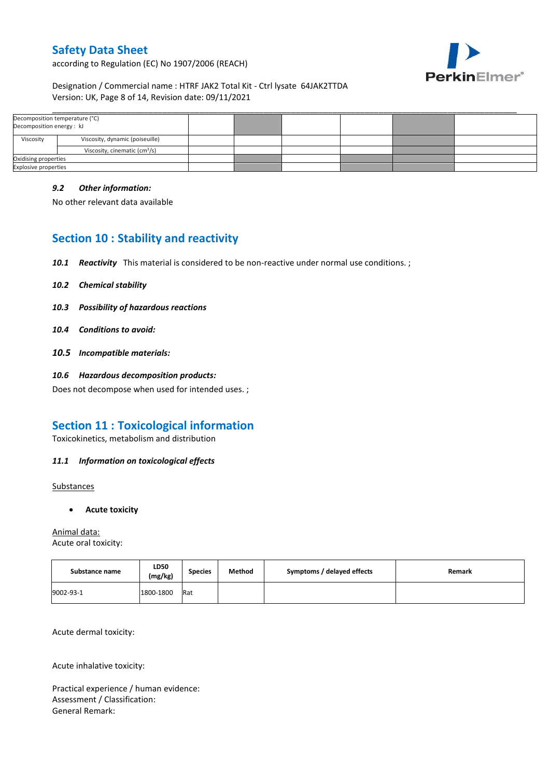according to Regulation (EC) No 1907/2006 (REACH)



### Designation / Commercial name : HTRF JAK2 Total Kit - Ctrl lysate 64JAK2TTDA Version: UK, Page 8 of 14, Revision date: 09/11/2021

| Decomposition temperature (°C)<br>Decomposition energy: kJ |                                           |  |  |  |
|------------------------------------------------------------|-------------------------------------------|--|--|--|
| Viscosity<br>Viscosity, dynamic (poiseuille)               |                                           |  |  |  |
|                                                            | Viscosity, cinematic (cm <sup>3</sup> /s) |  |  |  |
| Oxidising properties                                       |                                           |  |  |  |
| <b>Explosive properties</b>                                |                                           |  |  |  |

\_\_\_\_\_\_\_\_\_\_\_\_\_\_\_\_\_\_\_\_\_\_\_\_\_\_\_\_\_\_\_\_\_\_\_\_\_\_\_\_\_\_\_\_\_\_\_\_\_\_\_\_\_\_\_\_\_\_\_\_\_\_\_\_\_\_\_\_\_\_\_\_\_\_\_\_\_\_\_\_\_\_\_\_\_\_\_\_\_\_\_\_\_\_\_\_\_\_\_\_\_

### *9.2 Other information:*

No other relevant data available

# **Section 10 : Stability and reactivity**

- *10.1 Reactivity* This material is considered to be non-reactive under normal use conditions. ;
- *10.2 Chemical stability*
- *10.3 Possibility of hazardous reactions*
- *10.4 Conditions to avoid:*
- *10.5 Incompatible materials:*
- *10.6 Hazardous decomposition products:*

Does not decompose when used for intended uses. ;

## **Section 11 : Toxicological information**

Toxicokinetics, metabolism and distribution

### *11.1 Information on toxicological effects*

**Substances** 

**Acute toxicity**

Animal data: Acute oral toxicity:

| Substance name | LD50<br>(mg/kg) | <b>Species</b> | Method | Symptoms / delayed effects | Remark |
|----------------|-----------------|----------------|--------|----------------------------|--------|
| 9002-93-1      | 1800-1800       | Rat            |        |                            |        |

Acute dermal toxicity:

Acute inhalative toxicity:

Practical experience / human evidence: Assessment / Classification: General Remark: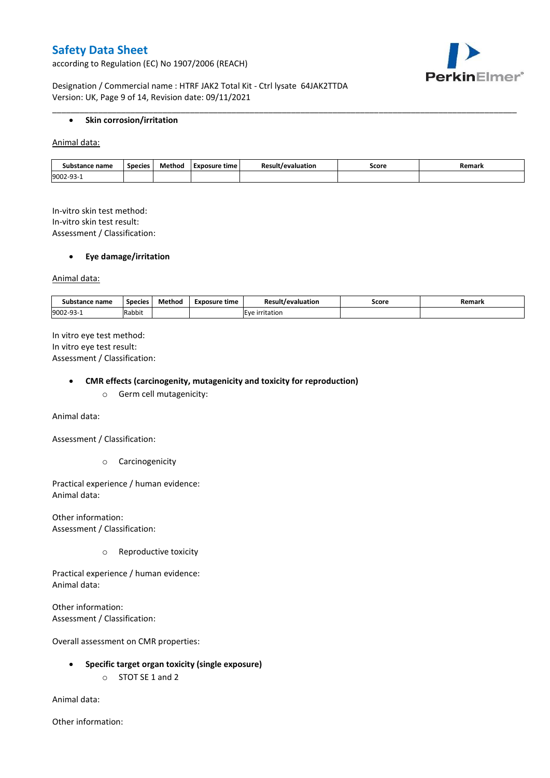according to Regulation (EC) No 1907/2006 (REACH)



Designation / Commercial name : HTRF JAK2 Total Kit - Ctrl lysate 64JAK2TTDA Version: UK, Page 9 of 14, Revision date: 09/11/2021

#### **•** Skin corrosion/irritation

Animal data:

| : name<br>Substance | <b>Species</b> | Method | Exposure time | revaluation. | Score<br>. | Remark |
|---------------------|----------------|--------|---------------|--------------|------------|--------|
| 9002-93             |                |        |               |              |            |        |

\_\_\_\_\_\_\_\_\_\_\_\_\_\_\_\_\_\_\_\_\_\_\_\_\_\_\_\_\_\_\_\_\_\_\_\_\_\_\_\_\_\_\_\_\_\_\_\_\_\_\_\_\_\_\_\_\_\_\_\_\_\_\_\_\_\_\_\_\_\_\_\_\_\_\_\_\_\_\_\_\_\_\_\_\_\_\_\_\_\_\_\_\_\_\_\_\_\_\_\_\_

In-vitro skin test method: In-vitro skin test result: Assessment / Classification:

### **Eye damage/irritation**

Animal data:

| : name<br>substance | <b>Species</b> | $ -$<br>Method | <b>Exposure time</b> | Result/evaluation | Score | Remark |
|---------------------|----------------|----------------|----------------------|-------------------|-------|--------|
| 9002-93-1           | .<br>Rabbit    |                |                      | irritation        |       |        |

In vitro eye test method: In vitro eye test result: Assessment / Classification:

#### **CMR effects (carcinogenity, mutagenicity and toxicity for reproduction)**

o Germ cell mutagenicity:

Animal data:

Assessment / Classification:

o Carcinogenicity

Practical experience / human evidence: Animal data:

Other information: Assessment / Classification:

o Reproductive toxicity

Practical experience / human evidence: Animal data:

Other information: Assessment / Classification:

Overall assessment on CMR properties:

- **Specific target organ toxicity (single exposure)**
	- o STOT SE 1 and 2

Animal data:

Other information: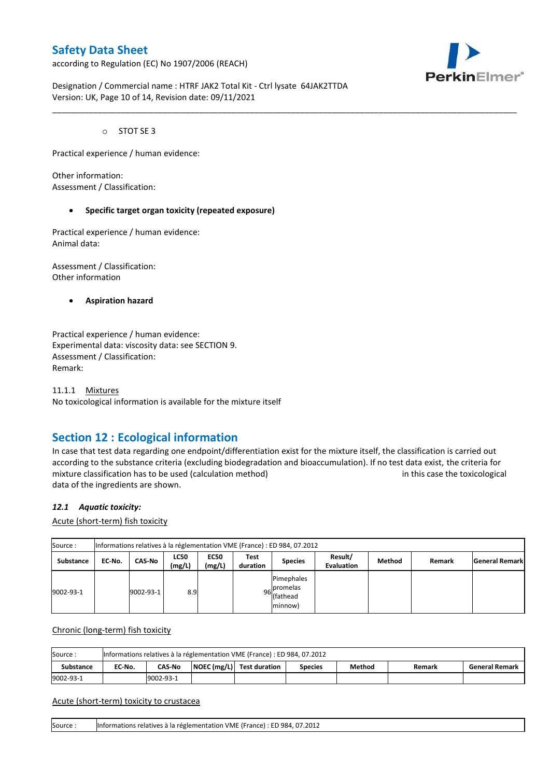according to Regulation (EC) No 1907/2006 (REACH)



Designation / Commercial name : HTRF JAK2 Total Kit - Ctrl lysate 64JAK2TTDA Version: UK, Page 10 of 14, Revision date: 09/11/2021

o STOT SE 3

Practical experience / human evidence:

Other information: Assessment / Classification:

#### **Specific target organ toxicity (repeated exposure)**

Practical experience / human evidence: Animal data:

Assessment / Classification: Other information

**Aspiration hazard**

Practical experience / human evidence: Experimental data: viscosity data: see SECTION 9. Assessment / Classification: Remark:

11.1.1 Mixtures No toxicological information is available for the mixture itself

## **Section 12 : Ecological information**

In case that test data regarding one endpoint/differentiation exist for the mixture itself, the classification is carried out according to the substance criteria (excluding biodegradation and bioaccumulation). If no test data exist, the criteria for mixture classification has to be used (calculation method) in this case the toxicological data of the ingredients are shown.

\_\_\_\_\_\_\_\_\_\_\_\_\_\_\_\_\_\_\_\_\_\_\_\_\_\_\_\_\_\_\_\_\_\_\_\_\_\_\_\_\_\_\_\_\_\_\_\_\_\_\_\_\_\_\_\_\_\_\_\_\_\_\_\_\_\_\_\_\_\_\_\_\_\_\_\_\_\_\_\_\_\_\_\_\_\_\_\_\_\_\_\_\_\_\_\_\_\_\_\_\_

#### *12.1 Aquatic toxicity:*

Acute (short-term) fish toxicity

| Source:          | Informations relatives à la réglementation VME (France) : ED 984, 07.2012 |               |                       |                       |                  |                                                  |                              |        |        |                       |  |  |  |
|------------------|---------------------------------------------------------------------------|---------------|-----------------------|-----------------------|------------------|--------------------------------------------------|------------------------------|--------|--------|-----------------------|--|--|--|
| <b>Substance</b> | EC-No.                                                                    | <b>CAS-No</b> | <b>LC50</b><br>(mg/L) | <b>EC50</b><br>(mg/L) | Test<br>duration | <b>Species</b>                                   | Result/<br><b>Evaluation</b> | Method | Remark | <b>General Remark</b> |  |  |  |
| 9002-93-1        |                                                                           | 9002-93-1     | 8.9                   |                       |                  | Pimephales<br>96 promelas<br>(fathead<br>minnow) |                              |        |        |                       |  |  |  |

Chronic (long-term) fish toxicity

| Source           | Informations relatives à la réglementation VME (France) : ED 984, 07.2012 |                                                                                                                    |  |  |  |  |  |  |  |  |  |  |
|------------------|---------------------------------------------------------------------------|--------------------------------------------------------------------------------------------------------------------|--|--|--|--|--|--|--|--|--|--|
| <b>Substance</b> | EC No.                                                                    | $\vert$ NOEC (mg/L) $\vert$ Test duration<br><b>CAS-No</b><br>Method<br><b>General Remark</b><br>Species<br>Remark |  |  |  |  |  |  |  |  |  |  |
| 9002-93-1        |                                                                           | 9002-93-1                                                                                                          |  |  |  |  |  |  |  |  |  |  |

#### Acute (short-term) toxicity to crustacea

Source : Informations relatives à la réglementation VME (France) : ED 984, 07.2012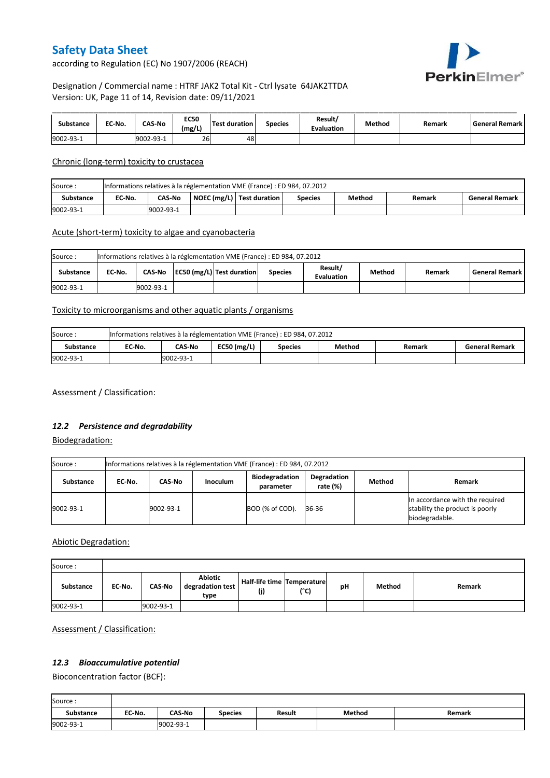PerkinElmer®

according to Regulation (EC) No 1907/2006 (REACH)

## Designation / Commercial name : HTRF JAK2 Total Kit - Ctrl lysate 64JAK2TTDA Version: UK, Page 11 of 14, Revision date: 09/11/2021

| Substance | EC-No. | <b>CAS-No</b> | <b>EC50</b><br>(mg/L) | <b>Test duration</b> | <b>Species</b> | Result/<br><b>Evaluation</b> | Method | Remark | l General Remark I |
|-----------|--------|---------------|-----------------------|----------------------|----------------|------------------------------|--------|--------|--------------------|
| 9002-93-1 |        | 19002-93-1    | 26                    | 48                   |                |                              |        |        |                    |

Chronic (long-term) toxicity to crustacea

| Source:   | Informations relatives à la réglementation VME (France) : ED 984, 07.2012 |                                                                                                             |  |  |  |  |  |  |  |  |  |  |
|-----------|---------------------------------------------------------------------------|-------------------------------------------------------------------------------------------------------------|--|--|--|--|--|--|--|--|--|--|
| Substance | EC-No.                                                                    | NOEC (mg/L)   Test duration<br>Method<br><b>CAS No</b><br><b>General Remark</b><br><b>Species</b><br>Remark |  |  |  |  |  |  |  |  |  |  |
| 9002-93-1 |                                                                           | 9002-93-1                                                                                                   |  |  |  |  |  |  |  |  |  |  |

### Acute (short-term) toxicity to algae and cyanobacteria

| Source:<br>Informations relatives à la réglementation VME (France) : ED 984, 07.2012 |                                                                                                                                              |           |  |  |  |  |  |  |  |  |  |
|--------------------------------------------------------------------------------------|----------------------------------------------------------------------------------------------------------------------------------------------|-----------|--|--|--|--|--|--|--|--|--|
| Substance                                                                            | Result/<br>EC50 (mg/L) Test duration<br><b>General Remark</b><br>CAS-No<br>Method<br>EC No.<br><b>Species</b><br>Remark<br><b>Evaluation</b> |           |  |  |  |  |  |  |  |  |  |
| 9002-93-1                                                                            |                                                                                                                                              | 9002-93-1 |  |  |  |  |  |  |  |  |  |

## Toxicity to microorganisms and other aquatic plants / organisms

| Source:   | Informations relatives à la réglementation VME (France) : ED 984, 07.2012 |           |                 |                |        |        |                       |  |  |
|-----------|---------------------------------------------------------------------------|-----------|-----------------|----------------|--------|--------|-----------------------|--|--|
| Substance | EC No.                                                                    | CAS-No    | EC50 ( $mg/L$ ) | <b>Species</b> | Method | Remark | <b>General Remark</b> |  |  |
| 9002-93-1 |                                                                           | 9002-93-1 |                 |                |        |        |                       |  |  |

Assessment / Classification:

### *12.2 Persistence and degradability*

Biodegradation:

| Source:   | Informations relatives à la réglementation VME (France) : ED 984, 07.2012 |           |                 |                                    |                            |        |                                                                                      |  |  |
|-----------|---------------------------------------------------------------------------|-----------|-----------------|------------------------------------|----------------------------|--------|--------------------------------------------------------------------------------------|--|--|
| Substance | EC No.                                                                    | CAS-No    | <b>Inoculum</b> | <b>Biodegradation</b><br>parameter | Degradation<br>rate $(\%)$ | Method | Remark                                                                               |  |  |
| 9002-93-1 |                                                                           | 9002-93-1 |                 | BOD (% of COD).                    | 36-36                      |        | In accordance with the required<br>stability the product is poorly<br>biodegradable. |  |  |

Abiotic Degradation:

| Source:   |        |               |                                            |                                       |      |    |        |        |
|-----------|--------|---------------|--------------------------------------------|---------------------------------------|------|----|--------|--------|
| Substance | EC-No. | <b>CAS-No</b> | <b>Abiotic</b><br>degradation test<br>type | Half-life time   Temperature  <br>(j) | (°C) | рH | Method | Remark |
| 9002-93-1 |        | 9002-93-1     |                                            |                                       |      |    |        |        |

Assessment / Classification:

## *12.3 Bioaccumulative potential*

Bioconcentration factor (BCF):

| Source:          |        |               |                |        |        |        |
|------------------|--------|---------------|----------------|--------|--------|--------|
| <b>Substance</b> | EC-No. | <b>CAS-No</b> | <b>Species</b> | Result | Method | Remark |
| 9002-93-1        |        | 9002-93-1     |                |        |        |        |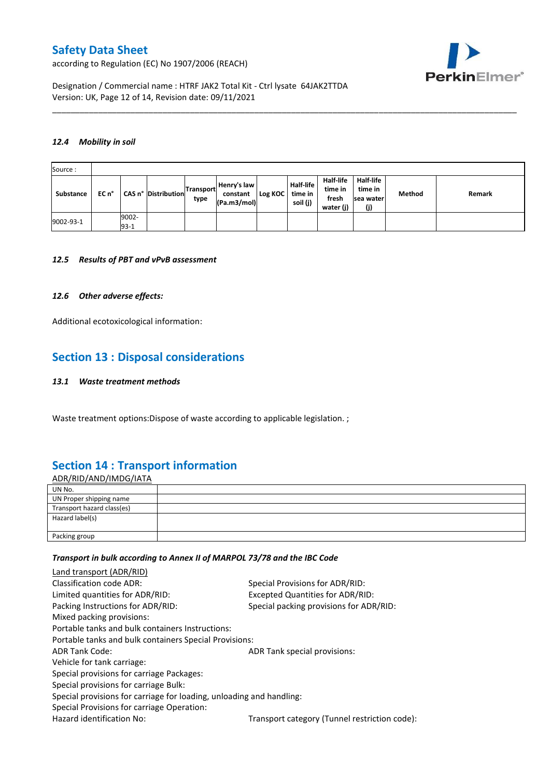according to Regulation (EC) No 1907/2006 (REACH)



Designation / Commercial name : HTRF JAK2 Total Kit - Ctrl lysate 64JAK2TTDA Version: UK, Page 12 of 14, Revision date: 09/11/2021

#### *12.4 Mobility in soil*

| Source:   |       |                 |                     |                          |                                        |         |                                         |                                            |                                          |        |        |
|-----------|-------|-----------------|---------------------|--------------------------|----------------------------------------|---------|-----------------------------------------|--------------------------------------------|------------------------------------------|--------|--------|
| Substance | EC n° |                 | CAS n° Distribution | <b>Transport</b><br>type | Henry's law<br>constant<br>(Pa.m3/mol) | Log KOC | <b>Half-life</b><br>time in<br>soil (j) | Half-life<br>time in<br>fresh<br>water (j) | Half-life<br>time in<br>sea water<br>(j) | Method | Remark |
| 9002-93-1 |       | 9002-<br>$93-1$ |                     |                          |                                        |         |                                         |                                            |                                          |        |        |

\_\_\_\_\_\_\_\_\_\_\_\_\_\_\_\_\_\_\_\_\_\_\_\_\_\_\_\_\_\_\_\_\_\_\_\_\_\_\_\_\_\_\_\_\_\_\_\_\_\_\_\_\_\_\_\_\_\_\_\_\_\_\_\_\_\_\_\_\_\_\_\_\_\_\_\_\_\_\_\_\_\_\_\_\_\_\_\_\_\_\_\_\_\_\_\_\_\_\_\_\_

#### *12.5 Results of PBT and vPvB assessment*

#### *12.6 Other adverse effects:*

Additional ecotoxicological information:

## **Section 13 : Disposal considerations**

#### *13.1 Waste treatment methods*

Waste treatment options:Dispose of waste according to applicable legislation. ;

## **Section 14 : Transport information**

ADR/RID/AND/IMDG/IATA UN No. UN Proper shipping name Transport hazard class(es) Hazard label(s) Packing group

#### *Transport in bulk according to Annex II of MARPOL 73/78 and the IBC Code*

| Land transport (ADR/RID)                                             |                                               |
|----------------------------------------------------------------------|-----------------------------------------------|
| Classification code ADR:                                             | Special Provisions for ADR/RID:               |
| Limited quantities for ADR/RID:                                      | Excepted Quantities for ADR/RID:              |
| Packing Instructions for ADR/RID:                                    | Special packing provisions for ADR/RID:       |
| Mixed packing provisions:                                            |                                               |
| Portable tanks and bulk containers Instructions:                     |                                               |
| Portable tanks and bulk containers Special Provisions:               |                                               |
| <b>ADR Tank Code:</b>                                                | ADR Tank special provisions:                  |
| Vehicle for tank carriage:                                           |                                               |
| Special provisions for carriage Packages:                            |                                               |
| Special provisions for carriage Bulk:                                |                                               |
| Special provisions for carriage for loading, unloading and handling: |                                               |
| Special Provisions for carriage Operation:                           |                                               |
| Hazard identification No:                                            | Transport category (Tunnel restriction code): |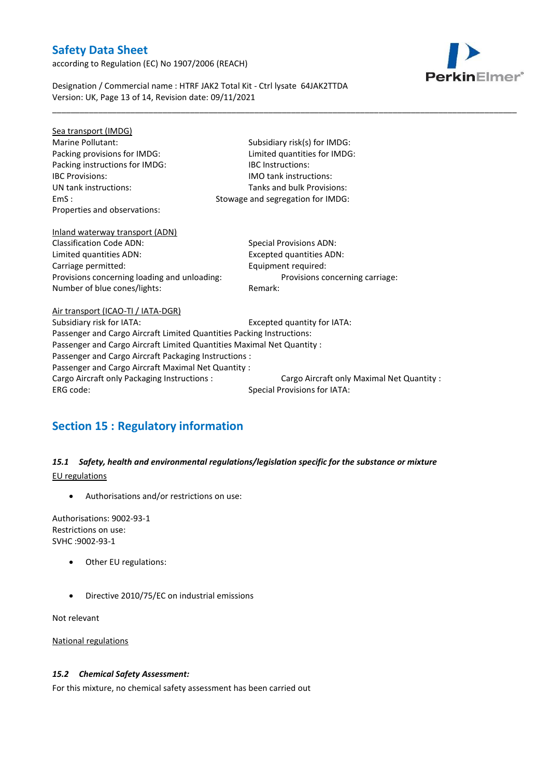according to Regulation (EC) No 1907/2006 (REACH)



Designation / Commercial name : HTRF JAK2 Total Kit - Ctrl lysate 64JAK2TTDA Version: UK, Page 13 of 14, Revision date: 09/11/2021

| Sea transport (IMDG)                                                   |                                            |  |  |  |  |
|------------------------------------------------------------------------|--------------------------------------------|--|--|--|--|
| Marine Pollutant:                                                      | Subsidiary risk(s) for IMDG:               |  |  |  |  |
| Packing provisions for IMDG:                                           | Limited quantities for IMDG:               |  |  |  |  |
| Packing instructions for IMDG:                                         | <b>IBC</b> Instructions:                   |  |  |  |  |
| <b>IBC Provisions:</b>                                                 | <b>IMO</b> tank instructions:              |  |  |  |  |
| UN tank instructions:                                                  | Tanks and bulk Provisions:                 |  |  |  |  |
| EmS:                                                                   | Stowage and segregation for IMDG:          |  |  |  |  |
| Properties and observations:                                           |                                            |  |  |  |  |
|                                                                        |                                            |  |  |  |  |
| Inland waterway transport (ADN)                                        |                                            |  |  |  |  |
| <b>Classification Code ADN:</b>                                        | <b>Special Provisions ADN:</b>             |  |  |  |  |
| Limited quantities ADN:                                                | Excepted quantities ADN:                   |  |  |  |  |
| Carriage permitted:                                                    | Equipment required:                        |  |  |  |  |
| Provisions concerning loading and unloading:                           | Provisions concerning carriage:            |  |  |  |  |
| Number of blue cones/lights:                                           | Remark:                                    |  |  |  |  |
| Air transport (ICAO-TI / IATA-DGR)                                     |                                            |  |  |  |  |
| Subsidiary risk for IATA:                                              | Excepted quantity for IATA:                |  |  |  |  |
| Passenger and Cargo Aircraft Limited Quantities Packing Instructions:  |                                            |  |  |  |  |
| Passenger and Cargo Aircraft Limited Quantities Maximal Net Quantity : |                                            |  |  |  |  |
| Passenger and Cargo Aircraft Packaging Instructions :                  |                                            |  |  |  |  |
| Passenger and Cargo Aircraft Maximal Net Quantity :                    |                                            |  |  |  |  |
| Cargo Aircraft only Packaging Instructions :                           | Cargo Aircraft only Maximal Net Quantity : |  |  |  |  |
| ERG code:                                                              | <b>Special Provisions for IATA:</b>        |  |  |  |  |
|                                                                        |                                            |  |  |  |  |
|                                                                        |                                            |  |  |  |  |

\_\_\_\_\_\_\_\_\_\_\_\_\_\_\_\_\_\_\_\_\_\_\_\_\_\_\_\_\_\_\_\_\_\_\_\_\_\_\_\_\_\_\_\_\_\_\_\_\_\_\_\_\_\_\_\_\_\_\_\_\_\_\_\_\_\_\_\_\_\_\_\_\_\_\_\_\_\_\_\_\_\_\_\_\_\_\_\_\_\_\_\_\_\_\_\_\_\_\_\_\_

# **Section 15 : Regulatory information**

## *15.1 Safety, health and environmental regulations/legislation specific for the substance or mixture* EU regulations

Authorisations and/or restrictions on use:

Authorisations: 9002-93-1 Restrictions on use: SVHC :9002-93-1

- Other EU regulations:
- Directive 2010/75/EC on industrial emissions

Not relevant

National regulations

### *15.2 Chemical Safety Assessment:*

For this mixture, no chemical safety assessment has been carried out